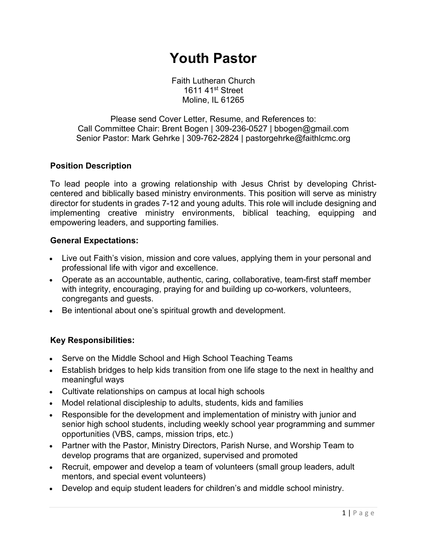# **Youth Pastor**

Faith Lutheran Church 1611 41st Street Moline, IL 61265

Please send Cover Letter, Resume, and References to: Call Committee Chair: Brent Bogen | 309-236-0527 | bbogen@gmail.com Senior Pastor: Mark Gehrke | 309-762-2824 | pastorgehrke@faithlcmc.org

#### **Position Description**

To lead people into a growing relationship with Jesus Christ by developing Christcentered and biblically based ministry environments. This position will serve as ministry director for students in grades 7-12 and young adults. This role will include designing and implementing creative ministry environments, biblical teaching, equipping and empowering leaders, and supporting families.

#### **General Expectations:**

- Live out Faith's vision, mission and core values, applying them in your personal and professional life with vigor and excellence.
- Operate as an accountable, authentic, caring, collaborative, team-first staff member with integrity, encouraging, praying for and building up co-workers, volunteers, congregants and guests.
- Be intentional about one's spiritual growth and development.

#### **Key Responsibilities:**

- Serve on the Middle School and High School Teaching Teams
- Establish bridges to help kids transition from one life stage to the next in healthy and meaningful ways
- Cultivate relationships on campus at local high schools
- Model relational discipleship to adults, students, kids and families
- Responsible for the development and implementation of ministry with junior and senior high school students, including weekly school year programming and summer opportunities (VBS, camps, mission trips, etc.)
- Partner with the Pastor, Ministry Directors, Parish Nurse, and Worship Team to develop programs that are organized, supervised and promoted
- Recruit, empower and develop a team of volunteers (small group leaders, adult mentors, and special event volunteers)
- Develop and equip student leaders for children's and middle school ministry.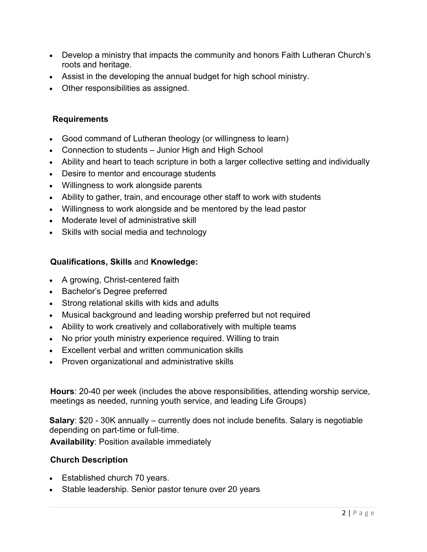- Develop a ministry that impacts the community and honors Faith Lutheran Church's roots and heritage.
- Assist in the developing the annual budget for high school ministry.
- Other responsibilities as assigned.

#### **Requirements**

- Good command of Lutheran theology (or willingness to learn)
- Connection to students Junior High and High School
- Ability and heart to teach scripture in both a larger collective setting and individually
- Desire to mentor and encourage students
- Willingness to work alongside parents
- Ability to gather, train, and encourage other staff to work with students
- Willingness to work alongside and be mentored by the lead pastor
- Moderate level of administrative skill
- Skills with social media and technology

## **Qualifications, Skills** and **Knowledge:**

- A growing, Christ-centered faith
- Bachelor's Degree preferred
- Strong relational skills with kids and adults
- Musical background and leading worship preferred but not required
- Ability to work creatively and collaboratively with multiple teams
- No prior youth ministry experience required. Willing to train
- Excellent verbal and written communication skills
- Proven organizational and administrative skills

**Hours**: 20-40 per week (includes the above responsibilities, attending worship service, meetings as needed, running youth service, and leading Life Groups)

**Salary**: \$20 - 30K annually – currently does not include benefits. Salary is negotiable depending on part-time or full-time.

**Availability**: Position available immediately

### **Church Description**

- Established church 70 years.
- Stable leadership. Senior pastor tenure over 20 years